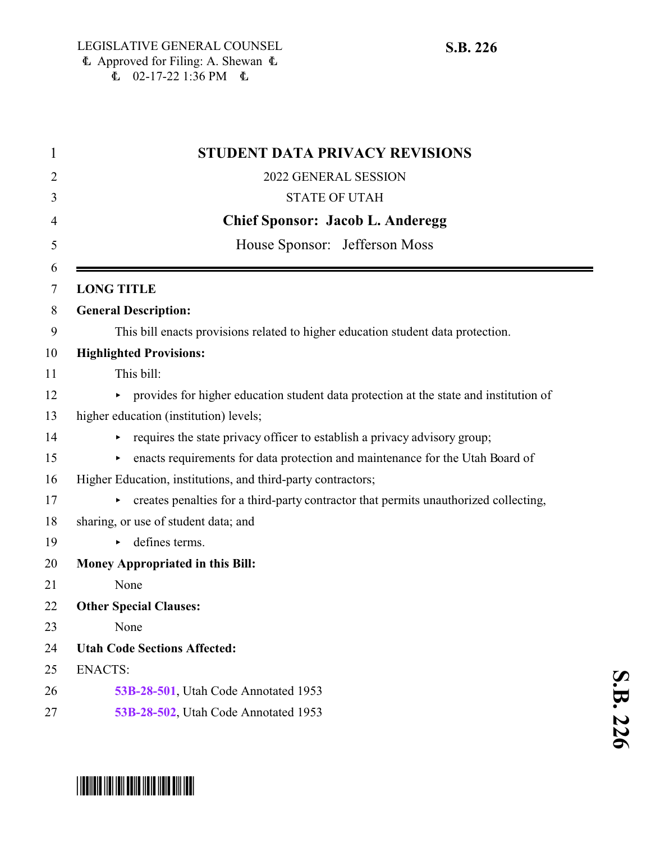| 2022 GENERAL SESSION<br>2<br><b>STATE OF UTAH</b><br>3<br><b>Chief Sponsor: Jacob L. Anderegg</b><br>4<br>House Sponsor: Jefferson Moss<br>5<br>6<br><b>LONG TITLE</b><br>7<br><b>General Description:</b><br>8<br>9<br>This bill enacts provisions related to higher education student data protection.<br><b>Highlighted Provisions:</b><br>10<br>This bill:<br>11<br>provides for higher education student data protection at the state and institution of<br>12<br>higher education (institution) levels;<br>13<br>requires the state privacy officer to establish a privacy advisory group;<br>14<br>enacts requirements for data protection and maintenance for the Utah Board of<br>15 |
|-----------------------------------------------------------------------------------------------------------------------------------------------------------------------------------------------------------------------------------------------------------------------------------------------------------------------------------------------------------------------------------------------------------------------------------------------------------------------------------------------------------------------------------------------------------------------------------------------------------------------------------------------------------------------------------------------|
|                                                                                                                                                                                                                                                                                                                                                                                                                                                                                                                                                                                                                                                                                               |
|                                                                                                                                                                                                                                                                                                                                                                                                                                                                                                                                                                                                                                                                                               |
|                                                                                                                                                                                                                                                                                                                                                                                                                                                                                                                                                                                                                                                                                               |
|                                                                                                                                                                                                                                                                                                                                                                                                                                                                                                                                                                                                                                                                                               |
|                                                                                                                                                                                                                                                                                                                                                                                                                                                                                                                                                                                                                                                                                               |
|                                                                                                                                                                                                                                                                                                                                                                                                                                                                                                                                                                                                                                                                                               |
|                                                                                                                                                                                                                                                                                                                                                                                                                                                                                                                                                                                                                                                                                               |
|                                                                                                                                                                                                                                                                                                                                                                                                                                                                                                                                                                                                                                                                                               |
|                                                                                                                                                                                                                                                                                                                                                                                                                                                                                                                                                                                                                                                                                               |
|                                                                                                                                                                                                                                                                                                                                                                                                                                                                                                                                                                                                                                                                                               |
|                                                                                                                                                                                                                                                                                                                                                                                                                                                                                                                                                                                                                                                                                               |
|                                                                                                                                                                                                                                                                                                                                                                                                                                                                                                                                                                                                                                                                                               |
|                                                                                                                                                                                                                                                                                                                                                                                                                                                                                                                                                                                                                                                                                               |
| Higher Education, institutions, and third-party contractors;                                                                                                                                                                                                                                                                                                                                                                                                                                                                                                                                                                                                                                  |
| creates penalties for a third-party contractor that permits unauthorized collecting,                                                                                                                                                                                                                                                                                                                                                                                                                                                                                                                                                                                                          |
| sharing, or use of student data; and                                                                                                                                                                                                                                                                                                                                                                                                                                                                                                                                                                                                                                                          |
| defines terms.                                                                                                                                                                                                                                                                                                                                                                                                                                                                                                                                                                                                                                                                                |
| Money Appropriated in this Bill:                                                                                                                                                                                                                                                                                                                                                                                                                                                                                                                                                                                                                                                              |
| None                                                                                                                                                                                                                                                                                                                                                                                                                                                                                                                                                                                                                                                                                          |
| <b>Other Special Clauses:</b>                                                                                                                                                                                                                                                                                                                                                                                                                                                                                                                                                                                                                                                                 |
| None                                                                                                                                                                                                                                                                                                                                                                                                                                                                                                                                                                                                                                                                                          |
| <b>Utah Code Sections Affected:</b>                                                                                                                                                                                                                                                                                                                                                                                                                                                                                                                                                                                                                                                           |
| <b>ENACTS:</b>                                                                                                                                                                                                                                                                                                                                                                                                                                                                                                                                                                                                                                                                                |
| 53B-28-501, Utah Code Annotated 1953                                                                                                                                                                                                                                                                                                                                                                                                                                                                                                                                                                                                                                                          |
| 53B-28-502, Utah Code Annotated 1953                                                                                                                                                                                                                                                                                                                                                                                                                                                                                                                                                                                                                                                          |

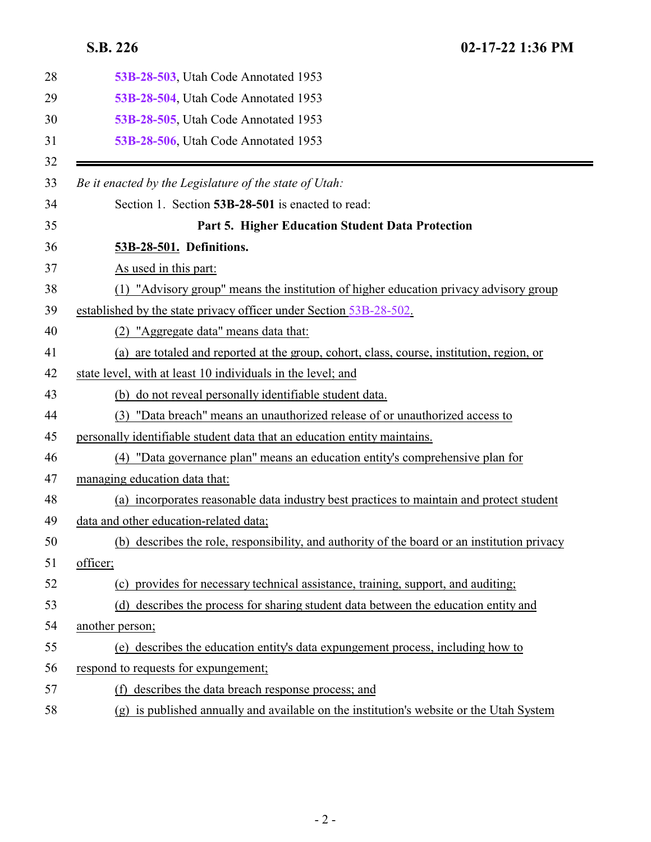<span id="page-1-0"></span>

| 28 | 53B-28-503, Utah Code Annotated 1953                                                         |
|----|----------------------------------------------------------------------------------------------|
| 29 | 53B-28-504, Utah Code Annotated 1953                                                         |
| 30 | 53B-28-505, Utah Code Annotated 1953                                                         |
| 31 | 53B-28-506, Utah Code Annotated 1953                                                         |
| 32 |                                                                                              |
| 33 | Be it enacted by the Legislature of the state of Utah:                                       |
| 34 | Section 1. Section 53B-28-501 is enacted to read:                                            |
| 35 | Part 5. Higher Education Student Data Protection                                             |
| 36 | 53B-28-501. Definitions.                                                                     |
| 37 | As used in this part:                                                                        |
| 38 | (1) "Advisory group" means the institution of higher education privacy advisory group        |
| 39 | established by the state privacy officer under Section 53B-28-502.                           |
| 40 | (2) "Aggregate data" means data that:                                                        |
| 41 | (a) are totaled and reported at the group, cohort, class, course, institution, region, or    |
| 42 | state level, with at least 10 individuals in the level; and                                  |
| 43 | (b) do not reveal personally identifiable student data.                                      |
| 44 | "Data breach" means an unauthorized release of or unauthorized access to<br>(3)              |
| 45 | personally identifiable student data that an education entity maintains.                     |
| 46 | (4) "Data governance plan" means an education entity's comprehensive plan for                |
| 47 | managing education data that:                                                                |
| 48 | (a) incorporates reasonable data industry best practices to maintain and protect student     |
| 49 | data and other education-related data;                                                       |
| 50 | (b) describes the role, responsibility, and authority of the board or an institution privacy |
| 51 | officer;                                                                                     |
| 52 | (c) provides for necessary technical assistance, training, support, and auditing;            |
| 53 | (d) describes the process for sharing student data between the education entity and          |
| 54 | another person;                                                                              |
| 55 | (e) describes the education entity's data expungement process, including how to              |
| 56 | respond to requests for expungement;                                                         |
| 57 | describes the data breach response process; and<br>(f)                                       |
| 58 | (g) is published annually and available on the institution's website or the Utah System      |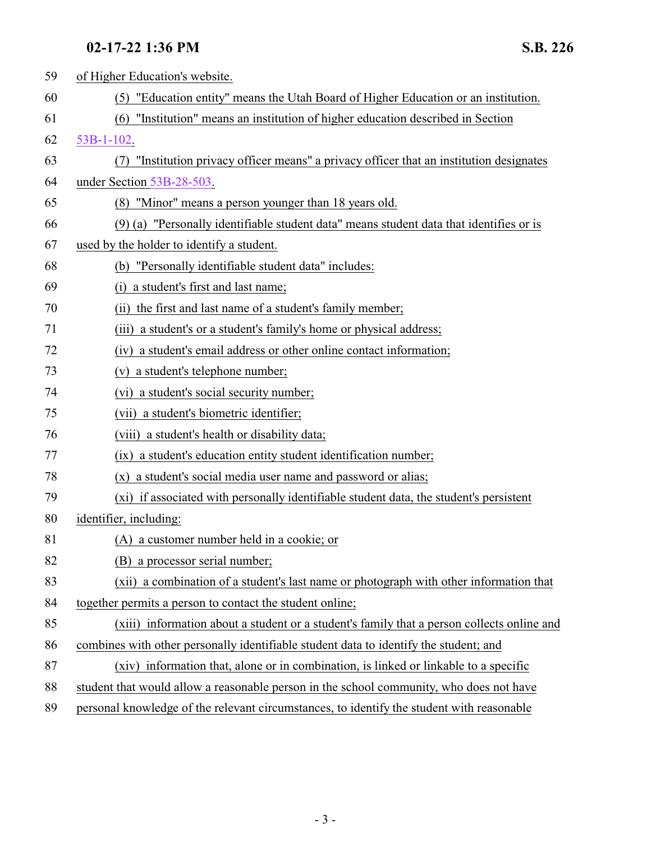| 59 | of Higher Education's website.                                                              |
|----|---------------------------------------------------------------------------------------------|
| 60 | (5) "Education entity" means the Utah Board of Higher Education or an institution.          |
| 61 | "Institution" means an institution of higher education described in Section<br>(6)          |
| 62 | $53B-1-102$ .                                                                               |
| 63 | "Institution privacy officer means" a privacy officer that an institution designates<br>(7) |
| 64 | under Section 53B-28-503.                                                                   |
| 65 | (8) "Minor" means a person younger than 18 years old.                                       |
| 66 | (9) (a) "Personally identifiable student data" means student data that identifies or is     |
| 67 | used by the holder to identify a student.                                                   |
| 68 | (b) "Personally identifiable student data" includes:                                        |
| 69 | (i) a student's first and last name;                                                        |
| 70 | (ii) the first and last name of a student's family member;                                  |
| 71 | (iii) a student's or a student's family's home or physical address;                         |
| 72 | (iv) a student's email address or other online contact information;                         |
| 73 | (v) a student's telephone number;                                                           |
| 74 | (vi) a student's social security number;                                                    |
| 75 | (vii) a student's biometric identifier;                                                     |
| 76 | (viii) a student's health or disability data;                                               |
| 77 | (ix) a student's education entity student identification number;                            |
| 78 | (x) a student's social media user name and password or alias;                               |
| 79 | (xi) if associated with personally identifiable student data, the student's persistent      |
| 80 | identifier, including:                                                                      |
| 81 | (A) a customer number held in a cookie; or                                                  |
| 82 | (B) a processor serial number;                                                              |
| 83 | (xii) a combination of a student's last name or photograph with other information that      |
| 84 | together permits a person to contact the student online;                                    |
| 85 | (xiii) information about a student or a student's family that a person collects online and  |
| 86 | combines with other personally identifiable student data to identify the student; and       |
| 87 | (xiv) information that, alone or in combination, is linked or linkable to a specific        |
| 88 | student that would allow a reasonable person in the school community, who does not have     |
| 89 | personal knowledge of the relevant circumstances, to identify the student with reasonable   |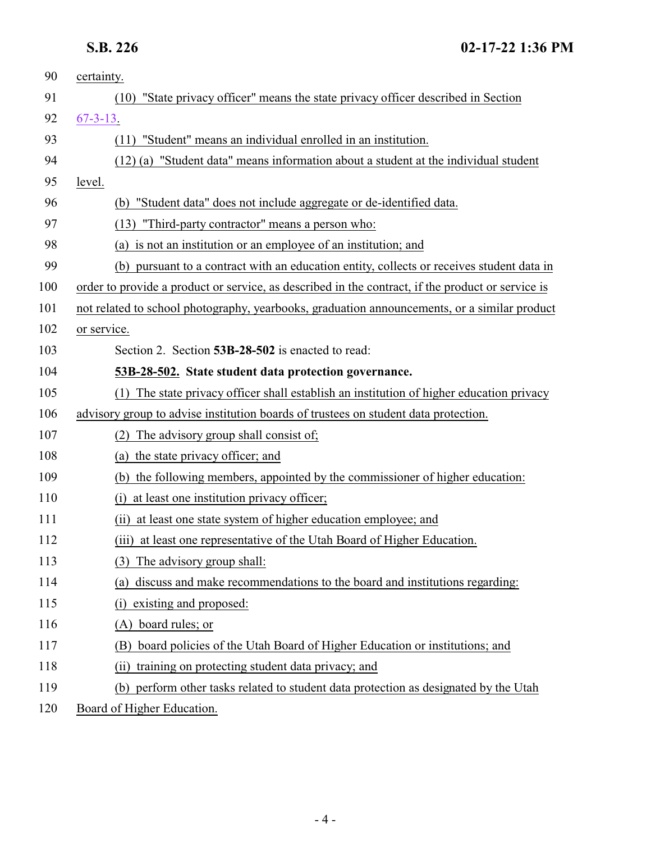<span id="page-3-0"></span>

| 90  | certainty.                                                                                        |
|-----|---------------------------------------------------------------------------------------------------|
| 91  | "State privacy officer" means the state privacy officer described in Section<br>(10)              |
| 92  | $67 - 3 - 13$ .                                                                                   |
| 93  | "Student" means an individual enrolled in an institution.<br>(11)                                 |
| 94  | (12) (a) "Student data" means information about a student at the individual student               |
| 95  | level.                                                                                            |
| 96  | (b) "Student data" does not include aggregate or de-identified data.                              |
| 97  | (13)<br>"Third-party contractor" means a person who:                                              |
| 98  | (a) is not an institution or an employee of an institution; and                                   |
| 99  | (b) pursuant to a contract with an education entity, collects or receives student data in         |
| 100 | order to provide a product or service, as described in the contract, if the product or service is |
| 101 | not related to school photography, yearbooks, graduation announcements, or a similar product      |
| 102 | or service.                                                                                       |
| 103 | Section 2. Section 53B-28-502 is enacted to read:                                                 |
| 104 | 53B-28-502. State student data protection governance.                                             |
| 105 | The state privacy officer shall establish an institution of higher education privacy<br>(1)       |
| 106 | advisory group to advise institution boards of trustees on student data protection.               |
| 107 | The advisory group shall consist of;<br>(2)                                                       |
| 108 | (a) the state privacy officer; and                                                                |
| 109 | (b) the following members, appointed by the commissioner of higher education:                     |
| 110 | at least one institution privacy officer;<br>(i)                                                  |
| 111 | (ii) at least one state system of higher education employee; and                                  |
| 112 | at least one representative of the Utah Board of Higher Education.<br>(iii)                       |
| 113 | The advisory group shall:<br>(3)                                                                  |
| 114 | discuss and make recommendations to the board and institutions regarding:<br>(a)                  |
| 115 | existing and proposed:<br>(i)                                                                     |
| 116 | (A) board rules; or                                                                               |
| 117 | board policies of the Utah Board of Higher Education or institutions; and                         |
| 118 | training on protecting student data privacy; and<br>(i)                                           |
| 119 | perform other tasks related to student data protection as designated by the Utah<br>(b)           |
| 120 | Board of Higher Education.                                                                        |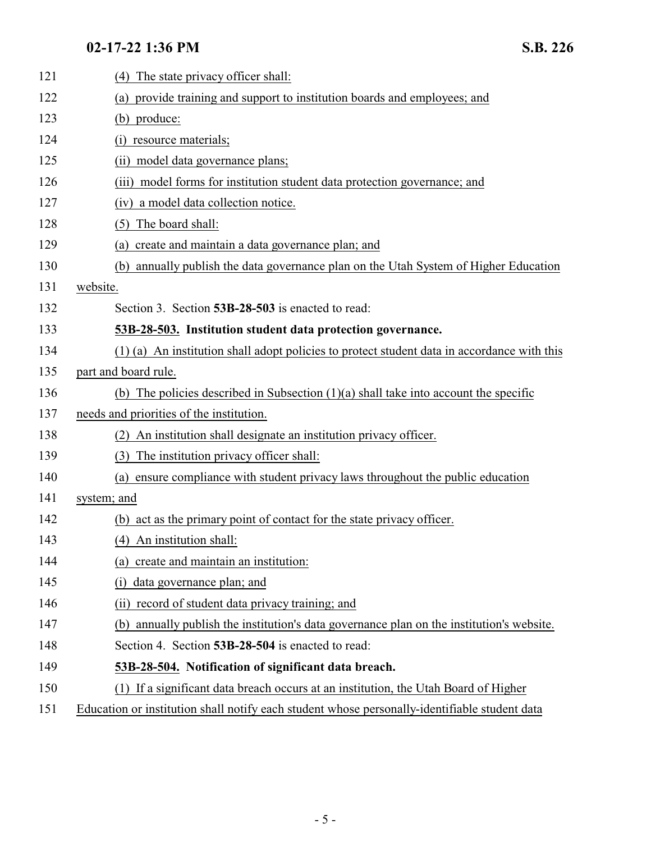<span id="page-4-1"></span><span id="page-4-0"></span>

| 121 | The state privacy officer shall:<br>(4)                                                       |
|-----|-----------------------------------------------------------------------------------------------|
| 122 | provide training and support to institution boards and employees; and<br>(a)                  |
| 123 | (b) produce:                                                                                  |
| 124 | resource materials;                                                                           |
| 125 | (ii) model data governance plans;                                                             |
| 126 | model forms for institution student data protection governance; and<br>(iii)                  |
| 127 | (iv) a model data collection notice.                                                          |
| 128 | The board shall:<br>(5)                                                                       |
| 129 | create and maintain a data governance plan; and<br>(a)                                        |
| 130 | (b) annually publish the data governance plan on the Utah System of Higher Education          |
| 131 | website.                                                                                      |
| 132 | Section 3. Section 53B-28-503 is enacted to read:                                             |
| 133 | 53B-28-503. Institution student data protection governance.                                   |
| 134 | (1) (a) An institution shall adopt policies to protect student data in accordance with this   |
| 135 | part and board rule.                                                                          |
| 136 | (b) The policies described in Subsection $(1)(a)$ shall take into account the specific        |
| 137 | needs and priorities of the institution.                                                      |
| 138 | An institution shall designate an institution privacy officer.<br>(2)                         |
| 139 | The institution privacy officer shall:<br>(3)                                                 |
| 140 | ensure compliance with student privacy laws throughout the public education<br>(a)            |
| 141 | system; and                                                                                   |
| 142 | (b) act as the primary point of contact for the state privacy officer.                        |
| 143 | (4) An institution shall:                                                                     |
| 144 | (a) create and maintain an institution:                                                       |
| 145 | data governance plan; and<br>(i)                                                              |
| 146 | record of student data privacy training; and<br>(i)                                           |
| 147 | (b) annually publish the institution's data governance plan on the institution's website.     |
| 148 | Section 4. Section 53B-28-504 is enacted to read:                                             |
| 149 | 53B-28-504. Notification of significant data breach.                                          |
| 150 | (1) If a significant data breach occurs at an institution, the Utah Board of Higher           |
| 151 | Education or institution shall notify each student whose personally-identifiable student data |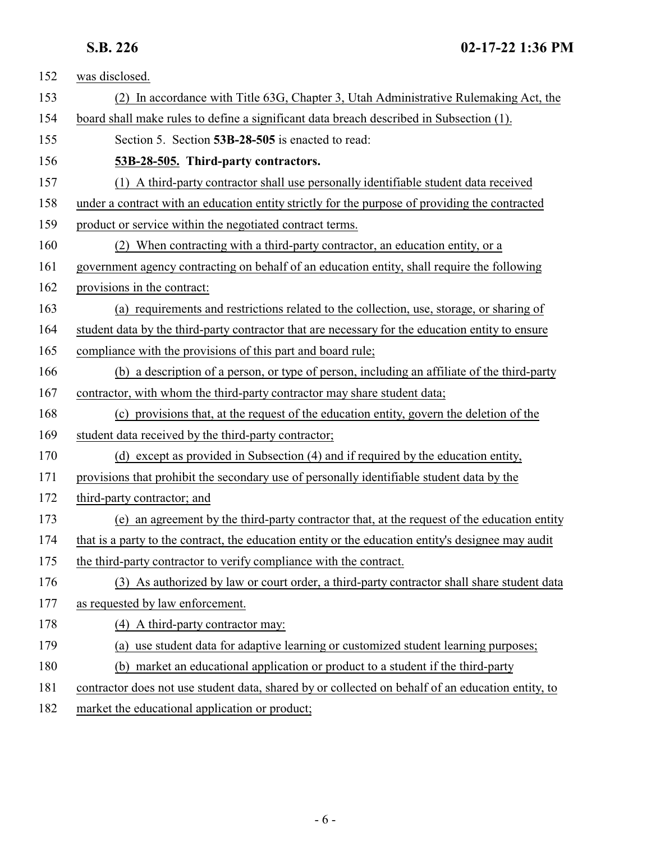<span id="page-5-0"></span>

| 152 | was disclosed.                                                                                     |
|-----|----------------------------------------------------------------------------------------------------|
| 153 | (2) In accordance with Title 63G, Chapter 3, Utah Administrative Rulemaking Act, the               |
| 154 | board shall make rules to define a significant data breach described in Subsection (1).            |
| 155 | Section 5. Section 53B-28-505 is enacted to read:                                                  |
| 156 | 53B-28-505. Third-party contractors.                                                               |
| 157 | (1) A third-party contractor shall use personally identifiable student data received               |
| 158 | under a contract with an education entity strictly for the purpose of providing the contracted     |
| 159 | product or service within the negotiated contract terms.                                           |
| 160 | (2) When contracting with a third-party contractor, an education entity, or a                      |
| 161 | government agency contracting on behalf of an education entity, shall require the following        |
| 162 | provisions in the contract:                                                                        |
| 163 | (a) requirements and restrictions related to the collection, use, storage, or sharing of           |
| 164 | student data by the third-party contractor that are necessary for the education entity to ensure   |
| 165 | compliance with the provisions of this part and board rule;                                        |
| 166 | (b) a description of a person, or type of person, including an affiliate of the third-party        |
| 167 | contractor, with whom the third-party contractor may share student data;                           |
| 168 | (c) provisions that, at the request of the education entity, govern the deletion of the            |
| 169 | student data received by the third-party contractor;                                               |
| 170 | (d) except as provided in Subsection (4) and if required by the education entity,                  |
| 171 | provisions that prohibit the secondary use of personally identifiable student data by the          |
| 172 | third-party contractor; and                                                                        |
| 173 | (e) an agreement by the third-party contractor that, at the request of the education entity        |
| 174 | that is a party to the contract, the education entity or the education entity's designee may audit |
| 175 | the third-party contractor to verify compliance with the contract.                                 |
| 176 | (3) As authorized by law or court order, a third-party contractor shall share student data         |
| 177 | as requested by law enforcement.                                                                   |
| 178 | (4) A third-party contractor may:                                                                  |
| 179 | (a) use student data for adaptive learning or customized student learning purposes;                |
| 180 | (b) market an educational application or product to a student if the third-party                   |
| 181 | contractor does not use student data, shared by or collected on behalf of an education entity, to  |
| 182 | market the educational application or product;                                                     |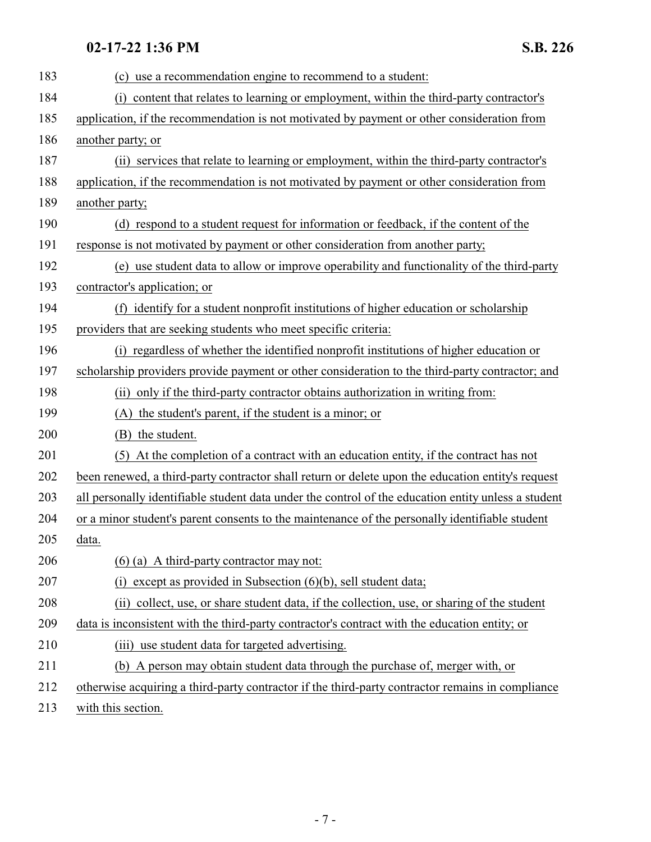| 183 | (c) use a recommendation engine to recommend to a student:                                          |
|-----|-----------------------------------------------------------------------------------------------------|
| 184 | content that relates to learning or employment, within the third-party contractor's<br>(i)          |
| 185 | application, if the recommendation is not motivated by payment or other consideration from          |
| 186 | another party; or                                                                                   |
| 187 | (ii) services that relate to learning or employment, within the third-party contractor's            |
| 188 | application, if the recommendation is not motivated by payment or other consideration from          |
| 189 | another party;                                                                                      |
| 190 | (d) respond to a student request for information or feedback, if the content of the                 |
| 191 | response is not motivated by payment or other consideration from another party;                     |
| 192 | (e) use student data to allow or improve operability and functionality of the third-party           |
| 193 | contractor's application; or                                                                        |
| 194 | (f) identify for a student nonprofit institutions of higher education or scholarship                |
| 195 | providers that are seeking students who meet specific criteria:                                     |
| 196 | (i) regardless of whether the identified nonprofit institutions of higher education or              |
| 197 | scholarship providers provide payment or other consideration to the third-party contractor; and     |
| 198 | (ii) only if the third-party contractor obtains authorization in writing from:                      |
| 199 | (A) the student's parent, if the student is a minor; or                                             |
| 200 | (B) the student.                                                                                    |
| 201 | (5) At the completion of a contract with an education entity, if the contract has not               |
| 202 | been renewed, a third-party contractor shall return or delete upon the education entity's request   |
| 203 | all personally identifiable student data under the control of the education entity unless a student |
| 204 | or a minor student's parent consents to the maintenance of the personally identifiable student      |
| 205 | data.                                                                                               |
| 206 | $(6)$ (a) A third-party contractor may not:                                                         |
| 207 | except as provided in Subsection $(6)(b)$ , sell student data;<br>(1)                               |
| 208 | (ii) collect, use, or share student data, if the collection, use, or sharing of the student         |
| 209 | data is inconsistent with the third-party contractor's contract with the education entity; or       |
| 210 | (iii) use student data for targeted advertising.                                                    |
| 211 | (b) A person may obtain student data through the purchase of, merger with, or                       |
| 212 | otherwise acquiring a third-party contractor if the third-party contractor remains in compliance    |
|     |                                                                                                     |

213 with this section.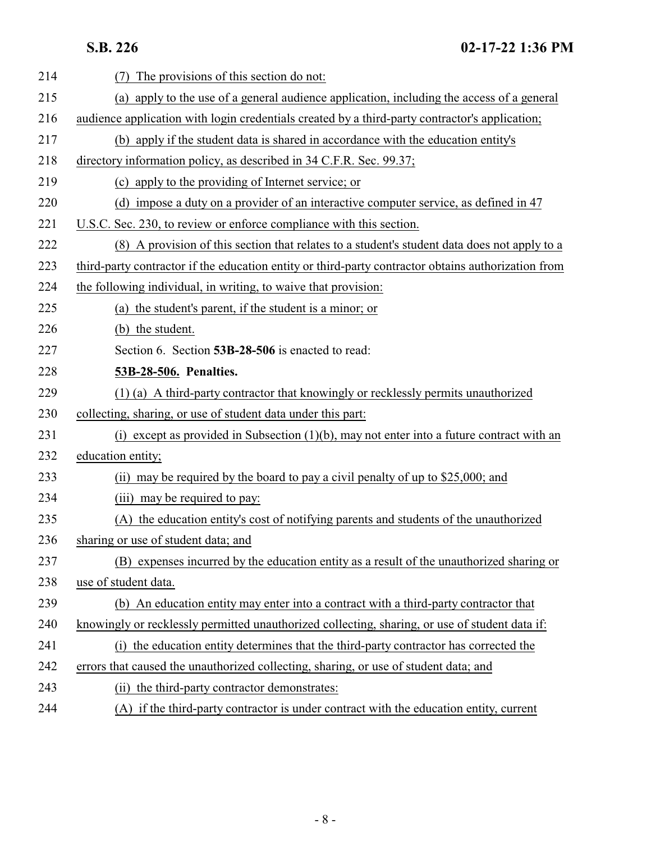<span id="page-7-0"></span>**S.B. 226 02-17-22 1:36 PM**

| 214 | The provisions of this section do not:                                                              |
|-----|-----------------------------------------------------------------------------------------------------|
| 215 | (a) apply to the use of a general audience application, including the access of a general           |
| 216 | audience application with login credentials created by a third-party contractor's application;      |
| 217 | (b) apply if the student data is shared in accordance with the education entity's                   |
| 218 | directory information policy, as described in 34 C.F.R. Sec. 99.37;                                 |
| 219 | (c) apply to the providing of Internet service; or                                                  |
| 220 | (d) impose a duty on a provider of an interactive computer service, as defined in 47                |
| 221 | U.S.C. Sec. 230, to review or enforce compliance with this section.                                 |
| 222 | (8) A provision of this section that relates to a student's student data does not apply to a        |
| 223 | third-party contractor if the education entity or third-party contractor obtains authorization from |
| 224 | the following individual, in writing, to waive that provision:                                      |
| 225 | (a) the student's parent, if the student is a minor; or                                             |
| 226 | (b) the student.                                                                                    |
| 227 | Section 6. Section 53B-28-506 is enacted to read:                                                   |
| 228 | 53B-28-506. Penalties.                                                                              |
| 229 | (1) (a) A third-party contractor that knowingly or recklessly permits unauthorized                  |
| 230 | collecting, sharing, or use of student data under this part:                                        |
| 231 | (i) except as provided in Subsection $(1)(b)$ , may not enter into a future contract with an        |
| 232 | education entity;                                                                                   |
| 233 | (ii) may be required by the board to pay a civil penalty of up to \$25,000; and                     |
| 234 | (iii) may be required to pay:                                                                       |
| 235 | (A) the education entity's cost of notifying parents and students of the unauthorized               |
| 236 | sharing or use of student data; and                                                                 |
| 237 | (B) expenses incurred by the education entity as a result of the unauthorized sharing or            |
| 238 | use of student data.                                                                                |
| 239 | (b) An education entity may enter into a contract with a third-party contractor that                |
| 240 | knowingly or recklessly permitted unauthorized collecting, sharing, or use of student data if:      |
| 241 | (i) the education entity determines that the third-party contractor has corrected the               |
| 242 | errors that caused the unauthorized collecting, sharing, or use of student data; and                |
| 243 | (ii) the third-party contractor demonstrates:                                                       |
| 244 | (A) if the third-party contractor is under contract with the education entity, current              |